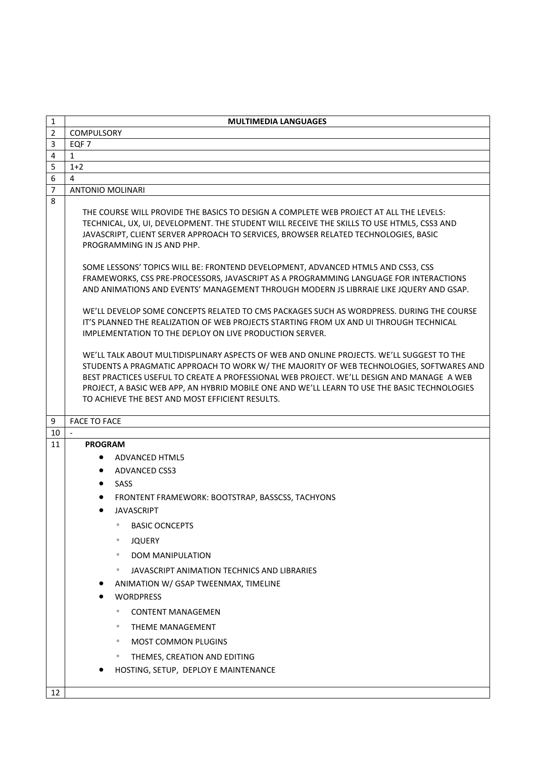| 1                   | <b>MULTIMEDIA LANGUAGES</b>                                                                                                                                                                                                                                                                                                                                                                                                                                                                                                                                                                                                                                                                                                                                                                                                       |
|---------------------|-----------------------------------------------------------------------------------------------------------------------------------------------------------------------------------------------------------------------------------------------------------------------------------------------------------------------------------------------------------------------------------------------------------------------------------------------------------------------------------------------------------------------------------------------------------------------------------------------------------------------------------------------------------------------------------------------------------------------------------------------------------------------------------------------------------------------------------|
| $\overline{2}$      | <b>COMPULSORY</b>                                                                                                                                                                                                                                                                                                                                                                                                                                                                                                                                                                                                                                                                                                                                                                                                                 |
| 3                   | EQF 7                                                                                                                                                                                                                                                                                                                                                                                                                                                                                                                                                                                                                                                                                                                                                                                                                             |
| $\overline{4}$      | $\mathbf{1}$                                                                                                                                                                                                                                                                                                                                                                                                                                                                                                                                                                                                                                                                                                                                                                                                                      |
| 5                   | $1+2$                                                                                                                                                                                                                                                                                                                                                                                                                                                                                                                                                                                                                                                                                                                                                                                                                             |
| 6<br>$\overline{7}$ | 4<br><b>ANTONIO MOLINARI</b>                                                                                                                                                                                                                                                                                                                                                                                                                                                                                                                                                                                                                                                                                                                                                                                                      |
| 8                   |                                                                                                                                                                                                                                                                                                                                                                                                                                                                                                                                                                                                                                                                                                                                                                                                                                   |
|                     | THE COURSE WILL PROVIDE THE BASICS TO DESIGN A COMPLETE WEB PROJECT AT ALL THE LEVELS:<br>TECHNICAL, UX, UI, DEVELOPMENT. THE STUDENT WILL RECEIVE THE SKILLS TO USE HTML5, CSS3 AND<br>JAVASCRIPT, CLIENT SERVER APPROACH TO SERVICES, BROWSER RELATED TECHNOLOGIES, BASIC<br>PROGRAMMING IN JS AND PHP.<br>SOME LESSONS' TOPICS WILL BE: FRONTEND DEVELOPMENT, ADVANCED HTML5 AND CSS3, CSS<br>FRAMEWORKS, CSS PRE-PROCESSORS, JAVASCRIPT AS A PROGRAMMING LANGUAGE FOR INTERACTIONS<br>AND ANIMATIONS AND EVENTS' MANAGEMENT THROUGH MODERN JS LIBRRAIE LIKE JQUERY AND GSAP.<br>WE'LL DEVELOP SOME CONCEPTS RELATED TO CMS PACKAGES SUCH AS WORDPRESS. DURING THE COURSE<br>IT'S PLANNED THE REALIZATION OF WEB PROJECTS STARTING FROM UX AND UI THROUGH TECHNICAL<br>IMPLEMENTATION TO THE DEPLOY ON LIVE PRODUCTION SERVER. |
|                     | WE'LL TALK ABOUT MULTIDISPLINARY ASPECTS OF WEB AND ONLINE PROJECTS. WE'LL SUGGEST TO THE<br>STUDENTS A PRAGMATIC APPROACH TO WORK W/ THE MAJORITY OF WEB TECHNOLOGIES, SOFTWARES AND<br>BEST PRACTICES USEFUL TO CREATE A PROFESSIONAL WEB PROJECT. WE'LL DESIGN AND MANAGE A WEB<br>PROJECT, A BASIC WEB APP, AN HYBRID MOBILE ONE AND WE'LL LEARN TO USE THE BASIC TECHNOLOGIES<br>TO ACHIEVE THE BEST AND MOST EFFICIENT RESULTS.                                                                                                                                                                                                                                                                                                                                                                                             |
| 9                   | <b>FACE TO FACE</b>                                                                                                                                                                                                                                                                                                                                                                                                                                                                                                                                                                                                                                                                                                                                                                                                               |
| 10                  | $\overline{\phantom{a}}$                                                                                                                                                                                                                                                                                                                                                                                                                                                                                                                                                                                                                                                                                                                                                                                                          |
| 11                  | <b>PROGRAM</b>                                                                                                                                                                                                                                                                                                                                                                                                                                                                                                                                                                                                                                                                                                                                                                                                                    |
|                     | ADVANCED HTML5                                                                                                                                                                                                                                                                                                                                                                                                                                                                                                                                                                                                                                                                                                                                                                                                                    |
|                     | ADVANCED CSS3<br>$\bullet$                                                                                                                                                                                                                                                                                                                                                                                                                                                                                                                                                                                                                                                                                                                                                                                                        |
|                     | • SASS                                                                                                                                                                                                                                                                                                                                                                                                                                                                                                                                                                                                                                                                                                                                                                                                                            |
|                     | FRONTENT FRAMEWORK: BOOTSTRAP, BASSCSS, TACHYONS                                                                                                                                                                                                                                                                                                                                                                                                                                                                                                                                                                                                                                                                                                                                                                                  |
|                     | <b>JAVASCRIPT</b><br>$\bullet$                                                                                                                                                                                                                                                                                                                                                                                                                                                                                                                                                                                                                                                                                                                                                                                                    |
|                     | <b>BASIC OCNCEPTS</b><br>$\circ$                                                                                                                                                                                                                                                                                                                                                                                                                                                                                                                                                                                                                                                                                                                                                                                                  |
|                     | <b>JQUERY</b><br>$\circ$                                                                                                                                                                                                                                                                                                                                                                                                                                                                                                                                                                                                                                                                                                                                                                                                          |
|                     | <b>DOM MANIPULATION</b><br>$\circ$                                                                                                                                                                                                                                                                                                                                                                                                                                                                                                                                                                                                                                                                                                                                                                                                |
|                     | JAVASCRIPT ANIMATION TECHNICS AND LIBRARIES<br>$\circ$                                                                                                                                                                                                                                                                                                                                                                                                                                                                                                                                                                                                                                                                                                                                                                            |
|                     | ANIMATION W/ GSAP TWEENMAX, TIMELINE                                                                                                                                                                                                                                                                                                                                                                                                                                                                                                                                                                                                                                                                                                                                                                                              |
|                     | <b>WORDPRESS</b>                                                                                                                                                                                                                                                                                                                                                                                                                                                                                                                                                                                                                                                                                                                                                                                                                  |
|                     | $\circ$                                                                                                                                                                                                                                                                                                                                                                                                                                                                                                                                                                                                                                                                                                                                                                                                                           |
|                     | <b>CONTENT MANAGEMEN</b>                                                                                                                                                                                                                                                                                                                                                                                                                                                                                                                                                                                                                                                                                                                                                                                                          |
|                     | <b>THEME MANAGEMENT</b><br>$\circ$                                                                                                                                                                                                                                                                                                                                                                                                                                                                                                                                                                                                                                                                                                                                                                                                |
|                     | <b>MOST COMMON PLUGINS</b><br>$\circ$                                                                                                                                                                                                                                                                                                                                                                                                                                                                                                                                                                                                                                                                                                                                                                                             |
|                     | THEMES, CREATION AND EDITING<br>$\circ$                                                                                                                                                                                                                                                                                                                                                                                                                                                                                                                                                                                                                                                                                                                                                                                           |
|                     | HOSTING, SETUP, DEPLOY E MAINTENANCE                                                                                                                                                                                                                                                                                                                                                                                                                                                                                                                                                                                                                                                                                                                                                                                              |
| 12                  |                                                                                                                                                                                                                                                                                                                                                                                                                                                                                                                                                                                                                                                                                                                                                                                                                                   |